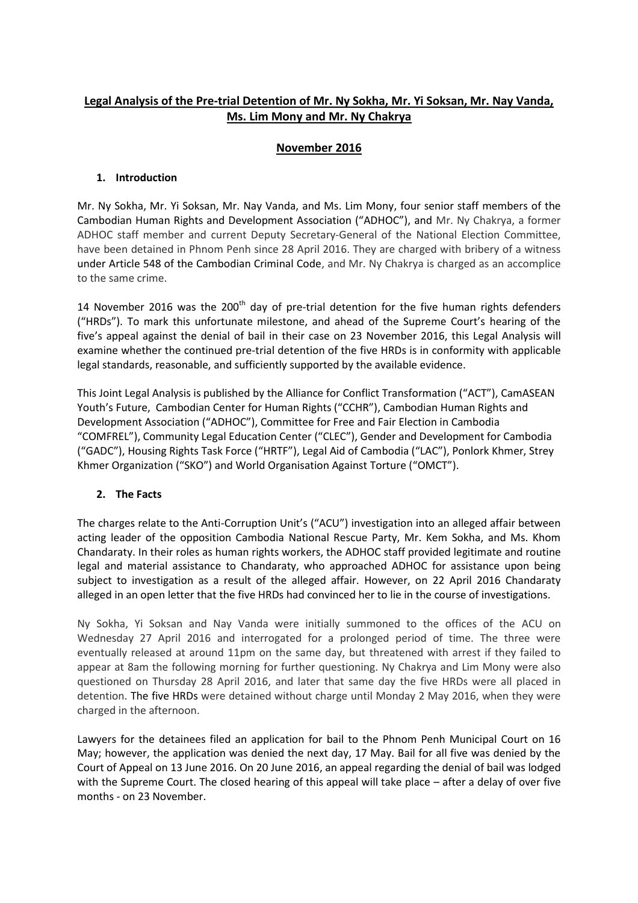# **Legal Analysis of the Pre-trial Detention of Mr. Ny Sokha, Mr. Yi Soksan, Mr. Nay Vanda, Ms. Lim Mony and Mr. Ny Chakrya**

## **November 2016**

## **1. Introduction**

Mr. Ny Sokha, Mr. Yi Soksan, Mr. Nay Vanda, and Ms. Lim Mony, four senior staff members of the Cambodian Human Rights and Development Association ("ADHOC"), and Mr. Ny Chakrya, a former ADHOC staff member and current Deputy Secretary-General of the National Election Committee, have been detained in Phnom Penh since 28 April 2016. They are charged with bribery of a witness under Article 548 of the Cambodian Criminal Code, and Mr. Ny Chakrya is charged as an accomplice to the same crime.

14 November 2016 was the  $200<sup>th</sup>$  day of pre-trial detention for the five human rights defenders ("HRDs"). To mark this unfortunate milestone, and ahead of the Supreme Court's hearing of the five's appeal against the denial of bail in their case on 23 November 2016, this Legal Analysis will examine whether the continued pre-trial detention of the five HRDs is in conformity with applicable legal standards, reasonable, and sufficiently supported by the available evidence.

This Joint Legal Analysis is published by the Alliance for Conflict Transformation ("ACT"), CamASEAN Youth's Future, Cambodian Center for Human Rights ("CCHR"), Cambodian Human Rights and Development Association ("ADHOC"), Committee for Free and Fair Election in Cambodia "COMFREL"), Community Legal Education Center ("CLEC"), Gender and Development for Cambodia ("GADC"), Housing Rights Task Force ("HRTF"), Legal Aid of Cambodia ("LAC"), Ponlork Khmer, Strey Khmer Organization ("SKO") and World Organisation Against Torture ("OMCT").

### **2. The Facts**

The charges relate to the Anti-Corruption Unit's ("ACU") investigation into an alleged affair between acting leader of the opposition Cambodia National Rescue Party, Mr. Kem Sokha, and Ms. Khom Chandaraty. In their roles as human rights workers, the ADHOC staff provided legitimate and routine legal and material assistance to Chandaraty, who approached ADHOC for assistance upon being subject to investigation as a result of the alleged affair. However, on 22 April 2016 Chandaraty alleged in an open letter that the five HRDs had convinced her to lie in the course of investigations.

Ny Sokha, Yi Soksan and Nay Vanda were initially summoned to the offices of the ACU on Wednesday 27 April 2016 and interrogated for a prolonged period of time. The three were eventually released at around 11pm on the same day, but threatened with arrest if they failed to appear at 8am the following morning for further questioning. Ny Chakrya and Lim Mony were also questioned on Thursday 28 April 2016, and later that same day the five HRDs were all placed in detention. The five HRDs were detained without charge until Monday 2 May 2016, when they were charged in the afternoon.

Lawyers for the detainees filed an application for bail to the Phnom Penh Municipal Court on 16 May; however, the application was denied the next day, 17 May. Bail for all five was denied by the Court of Appeal on 13 June 2016. On 20 June 2016, an appeal regarding the denial of bail was lodged with the Supreme Court. The closed hearing of this appeal will take place – after a delay of over five months - on 23 November.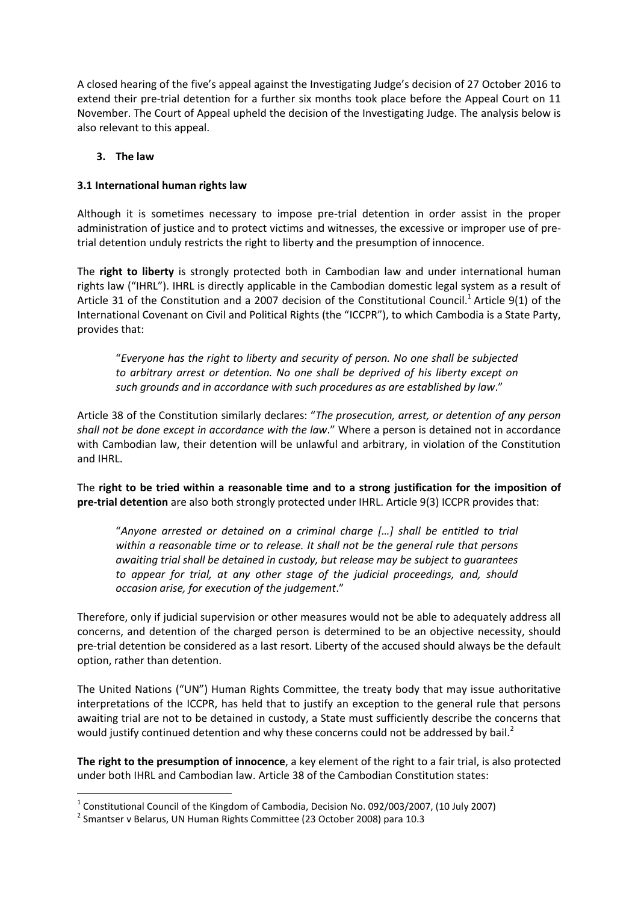A closed hearing of the five's appeal against the Investigating Judge's decision of 27 October 2016 to extend their pre-trial detention for a further six months took place before the Appeal Court on 11 November. The Court of Appeal upheld the decision of the Investigating Judge. The analysis below is also relevant to this appeal.

#### **3. The law**

#### **3.1 International human rights law**

Although it is sometimes necessary to impose pre-trial detention in order assist in the proper administration of justice and to protect victims and witnesses, the excessive or improper use of pretrial detention unduly restricts the right to liberty and the presumption of innocence.

The **right to liberty** is strongly protected both in Cambodian law and under international human rights law ("IHRL"). IHRL is directly applicable in the Cambodian domestic legal system as a result of Article 31 of the Constitution and a 2007 decision of the Constitutional Council.<sup>1</sup> Article 9(1) of the International Covenant on Civil and Political Rights (the "ICCPR"), to which Cambodia is a State Party, provides that:

"*Everyone has the right to liberty and security of person. No one shall be subjected to arbitrary arrest or detention. No one shall be deprived of his liberty except on such grounds and in accordance with such procedures as are established by law*."

Article 38 of the Constitution similarly declares: "*The prosecution, arrest, or detention of any person shall not be done except in accordance with the law*." Where a person is detained not in accordance with Cambodian law, their detention will be unlawful and arbitrary, in violation of the Constitution and IHRL.

The **right to be tried within a reasonable time and to a strong justification for the imposition of pre-trial detention** are also both strongly protected under IHRL. Article 9(3) ICCPR provides that:

"*Anyone arrested or detained on a criminal charge […] shall be entitled to trial within a reasonable time or to release. It shall not be the general rule that persons awaiting trial shall be detained in custody, but release may be subject to guarantees to appear for trial, at any other stage of the judicial proceedings, and, should occasion arise, for execution of the judgement*."

Therefore, only if judicial supervision or other measures would not be able to adequately address all concerns, and detention of the charged person is determined to be an objective necessity, should pre-trial detention be considered as a last resort. Liberty of the accused should always be the default option, rather than detention.

The United Nations ("UN") Human Rights Committee, the treaty body that may issue authoritative interpretations of the ICCPR, has held that to justify an exception to the general rule that persons awaiting trial are not to be detained in custody, a State must sufficiently describe the concerns that would justify continued detention and why these concerns could not be addressed by bail.<sup>2</sup>

**The right to the presumption of innocence**, a key element of the right to a fair trial, is also protected under both IHRL and Cambodian law. Article 38 of the Cambodian Constitution states:

 1 Constitutional Council of the Kingdom of Cambodia, Decision No. 092/003/2007, (10 July 2007)

 $^{2}$  Smantser v Belarus, UN Human Rights Committee (23 October 2008) para 10.3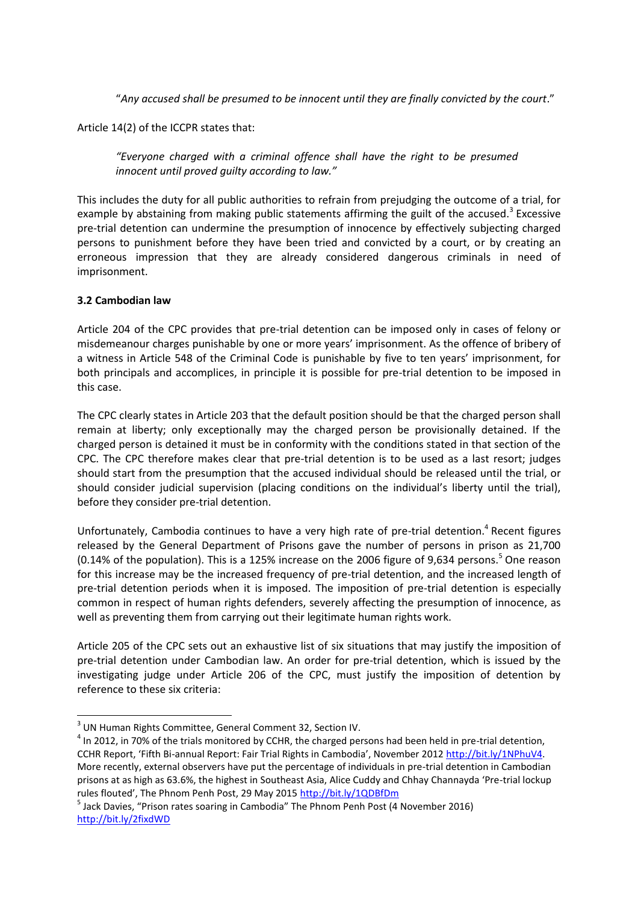"*Any accused shall be presumed to be innocent until they are finally convicted by the court*."

Article 14(2) of the ICCPR states that:

*"Everyone charged with a criminal offence shall have the right to be presumed innocent until proved guilty according to law."*

This includes the duty for all public authorities to refrain from prejudging the outcome of a trial, for example by abstaining from making public statements affirming the guilt of the accused.<sup>3</sup> Excessive pre-trial detention can undermine the presumption of innocence by effectively subjecting charged persons to punishment before they have been tried and convicted by a court, or by creating an erroneous impression that they are already considered dangerous criminals in need of imprisonment.

#### **3.2 Cambodian law**

Article 204 of the CPC provides that pre-trial detention can be imposed only in cases of felony or misdemeanour charges punishable by one or more years' imprisonment. As the offence of bribery of a witness in Article 548 of the Criminal Code is punishable by five to ten years' imprisonment, for both principals and accomplices, in principle it is possible for pre-trial detention to be imposed in this case.

The CPC clearly states in Article 203 that the default position should be that the charged person shall remain at liberty; only exceptionally may the charged person be provisionally detained. If the charged person is detained it must be in conformity with the conditions stated in that section of the CPC. The CPC therefore makes clear that pre-trial detention is to be used as a last resort; judges should start from the presumption that the accused individual should be released until the trial, or should consider judicial supervision (placing conditions on the individual's liberty until the trial), before they consider pre-trial detention.

Unfortunately, Cambodia continues to have a very high rate of pre-trial detention.<sup>4</sup> Recent figures released by the General Department of Prisons gave the number of persons in prison as 21,700 (0.14% of the population). This is a 125% increase on the 2006 figure of 9,634 persons.<sup>5</sup> One reason for this increase may be the increased frequency of pre-trial detention, and the increased length of pre-trial detention periods when it is imposed. The imposition of pre-trial detention is especially common in respect of human rights defenders, severely affecting the presumption of innocence, as well as preventing them from carrying out their legitimate human rights work.

Article 205 of the CPC sets out an exhaustive list of six situations that may justify the imposition of pre-trial detention under Cambodian law. An order for pre-trial detention, which is issued by the investigating judge under Article 206 of the CPC, must justify the imposition of detention by reference to these six criteria:

 $<sup>4</sup>$  In 2012, in 70% of the trials monitored by CCHR, the charged persons had been held in pre-trial detention,</sup> CCHR Report, 'Fifth Bi-annual Report: Fair Trial Rights in Cambodia', November 2012 [http://bit.ly/1NPhuV4.](http://bit.ly/1NPhuV4) More recently, external observers have put the percentage of individuals in pre-trial detention in Cambodian prisons at as high as 63.6%, the highest in Southeast Asia, Alice Cuddy and Chhay Channayda 'Pre-trial lockup rules flouted', The Phnom Penh Post, 29 May 2015 <http://bit.ly/1QDBfDm>

 3 UN Human Rights Committee, General Comment 32, Section IV.

<sup>&</sup>lt;sup>5</sup> Jack Davies, "Prison rates soaring in Cambodia" The Phnom Penh Post (4 November 2016) <http://bit.ly/2fixdWD>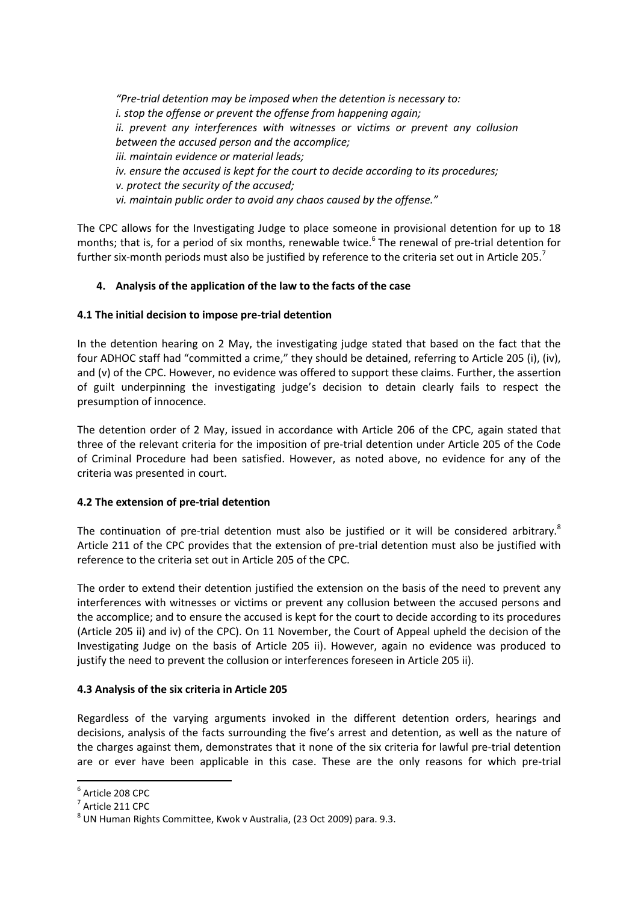*"Pre-trial detention may be imposed when the detention is necessary to: i. stop the offense or prevent the offense from happening again; ii. prevent any interferences with witnesses or victims or prevent any collusion between the accused person and the accomplice; iii. maintain evidence or material leads; iv. ensure the accused is kept for the court to decide according to its procedures; v. protect the security of the accused; vi. maintain public order to avoid any chaos caused by the offense."*

The CPC allows for the Investigating Judge to place someone in provisional detention for up to 18 months; that is, for a period of six months, renewable twice.<sup>6</sup> The renewal of pre-trial detention for further six-month periods must also be justified by reference to the criteria set out in Article 205.<sup>7</sup>

### **4. Analysis of the application of the law to the facts of the case**

### **4.1 The initial decision to impose pre-trial detention**

In the detention hearing on 2 May, the investigating judge stated that based on the fact that the four ADHOC staff had "committed a crime," they should be detained, referring to Article 205 (i), (iv), and (v) of the CPC. However, no evidence was offered to support these claims. Further, the assertion of guilt underpinning the investigating judge's decision to detain clearly fails to respect the presumption of innocence.

The detention order of 2 May, issued in accordance with Article 206 of the CPC, again stated that three of the relevant criteria for the imposition of pre-trial detention under Article 205 of the Code of Criminal Procedure had been satisfied. However, as noted above, no evidence for any of the criteria was presented in court.

### **4.2 The extension of pre-trial detention**

The continuation of pre-trial detention must also be justified or it will be considered arbitrary.<sup>8</sup> Article 211 of the CPC provides that the extension of pre-trial detention must also be justified with reference to the criteria set out in Article 205 of the CPC.

The order to extend their detention justified the extension on the basis of the need to prevent any interferences with witnesses or victims or prevent any collusion between the accused persons and the accomplice; and to ensure the accused is kept for the court to decide according to its procedures (Article 205 ii) and iv) of the CPC). On 11 November, the Court of Appeal upheld the decision of the Investigating Judge on the basis of Article 205 ii). However, again no evidence was produced to justify the need to prevent the collusion or interferences foreseen in Article 205 ii).

### **4.3 Analysis of the six criteria in Article 205**

Regardless of the varying arguments invoked in the different detention orders, hearings and decisions, analysis of the facts surrounding the five's arrest and detention, as well as the nature of the charges against them, demonstrates that it none of the six criteria for lawful pre-trial detention are or ever have been applicable in this case. These are the only reasons for which pre-trial

 $\overline{\phantom{a}}$ 

 $^6$  Article 208 CPC

 $^7$  Article 211 CPC

 $^8$  UN Human Rights Committee, Kwok v Australia, (23 Oct 2009) para. 9.3.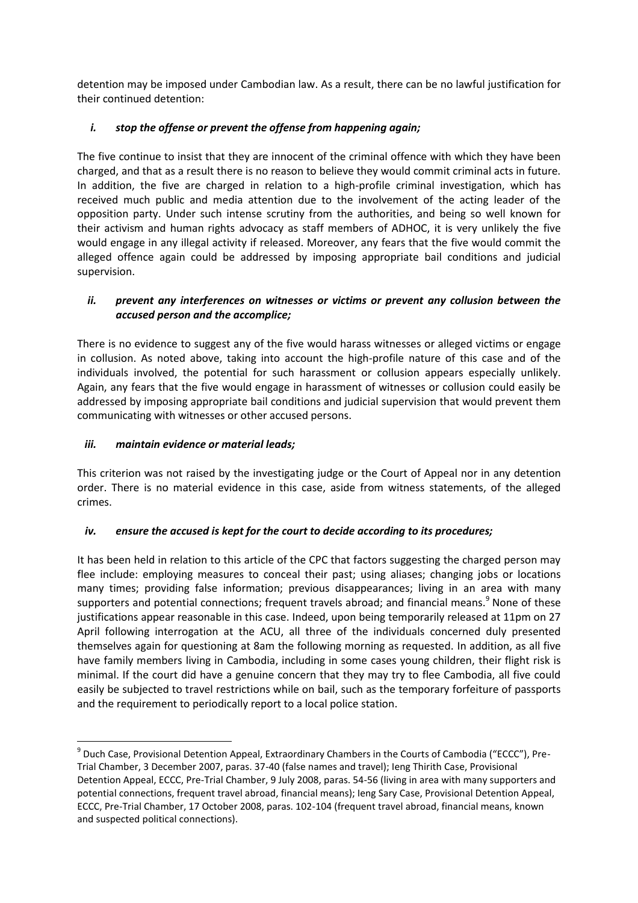detention may be imposed under Cambodian law. As a result, there can be no lawful justification for their continued detention:

## *i. stop the offense or prevent the offense from happening again;*

The five continue to insist that they are innocent of the criminal offence with which they have been charged, and that as a result there is no reason to believe they would commit criminal acts in future. In addition, the five are charged in relation to a high-profile criminal investigation, which has received much public and media attention due to the involvement of the acting leader of the opposition party. Under such intense scrutiny from the authorities, and being so well known for their activism and human rights advocacy as staff members of ADHOC, it is very unlikely the five would engage in any illegal activity if released. Moreover, any fears that the five would commit the alleged offence again could be addressed by imposing appropriate bail conditions and judicial supervision.

## *ii. prevent any interferences on witnesses or victims or prevent any collusion between the accused person and the accomplice;*

There is no evidence to suggest any of the five would harass witnesses or alleged victims or engage in collusion. As noted above, taking into account the high-profile nature of this case and of the individuals involved, the potential for such harassment or collusion appears especially unlikely. Again, any fears that the five would engage in harassment of witnesses or collusion could easily be addressed by imposing appropriate bail conditions and judicial supervision that would prevent them communicating with witnesses or other accused persons.

### *iii. maintain evidence or material leads;*

This criterion was not raised by the investigating judge or the Court of Appeal nor in any detention order. There is no material evidence in this case, aside from witness statements, of the alleged crimes.

### *iv. ensure the accused is kept for the court to decide according to its procedures;*

It has been held in relation to this article of the CPC that factors suggesting the charged person may flee include: employing measures to conceal their past; using aliases; changing jobs or locations many times; providing false information; previous disappearances; living in an area with many supporters and potential connections; frequent travels abroad; and financial means.<sup>9</sup> None of these justifications appear reasonable in this case. Indeed, upon being temporarily released at 11pm on 27 April following interrogation at the ACU, all three of the individuals concerned duly presented themselves again for questioning at 8am the following morning as requested. In addition, as all five have family members living in Cambodia, including in some cases young children, their flight risk is minimal. If the court did have a genuine concern that they may try to flee Cambodia, all five could easily be subjected to travel restrictions while on bail, such as the temporary forfeiture of passports and the requirement to periodically report to a local police station.

 $\overline{a}$  $^9$  Duch Case, Provisional Detention Appeal, Extraordinary Chambers in the Courts of Cambodia ("ECCC"), Pre-Trial Chamber, 3 December 2007, paras. 37-40 (false names and travel); Ieng Thirith Case, Provisional Detention Appeal, ECCC, Pre-Trial Chamber, 9 July 2008, paras. 54-56 (living in area with many supporters and potential connections, frequent travel abroad, financial means); Ieng Sary Case, Provisional Detention Appeal, ECCC, Pre-Trial Chamber, 17 October 2008, paras. 102-104 (frequent travel abroad, financial means, known and suspected political connections).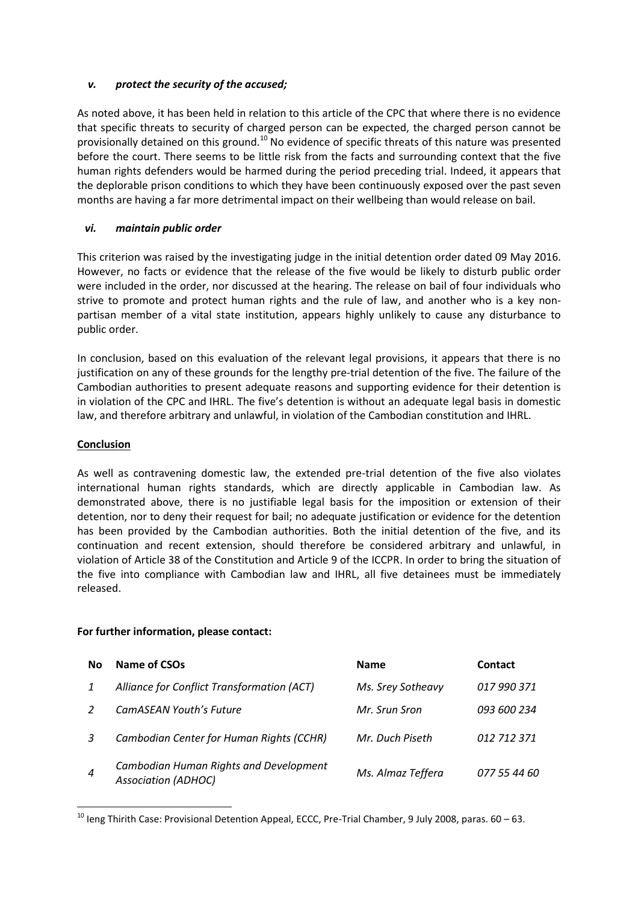#### *v. protect the security of the accused;*

As noted above, it has been held in relation to this article of the CPC that where there is no evidence that specific threats to security of charged person can be expected, the charged person cannot be provisionally detained on this ground.<sup>10</sup> No evidence of specific threats of this nature was presented before the court. There seems to be little risk from the facts and surrounding context that the five human rights defenders would be harmed during the period preceding trial. Indeed, it appears that the deplorable prison conditions to which they have been continuously exposed over the past seven months are having a far more detrimental impact on their wellbeing than would release on bail.

### *vi. maintain public order*

This criterion was raised by the investigating judge in the initial detention order dated 09 May 2016. However, no facts or evidence that the release of the five would be likely to disturb public order were included in the order, nor discussed at the hearing. The release on bail of four individuals who strive to promote and protect human rights and the rule of law, and another who is a key nonpartisan member of a vital state institution, appears highly unlikely to cause any disturbance to public order.

In conclusion, based on this evaluation of the relevant legal provisions, it appears that there is no justification on any of these grounds for the lengthy pre-trial detention of the five. The failure of the Cambodian authorities to present adequate reasons and supporting evidence for their detention is in violation of the CPC and IHRL. The five's detention is without an adequate legal basis in domestic law, and therefore arbitrary and unlawful, in violation of the Cambodian constitution and IHRL.

#### **Conclusion**

 $\overline{\phantom{a}}$ 

As well as contravening domestic law, the extended pre-trial detention of the five also violates international human rights standards, which are directly applicable in Cambodian law. As demonstrated above, there is no justifiable legal basis for the imposition or extension of their detention, nor to deny their request for bail; no adequate justification or evidence for the detention has been provided by the Cambodian authorities. Both the initial detention of the five, and its continuation and recent extension, should therefore be considered arbitrary and unlawful, in violation of Article 38 of the Constitution and Article 9 of the ICCPR. In order to bring the situation of the five into compliance with Cambodian law and IHRL, all five detainees must be immediately released.

#### **For further information, please contact:**

| No               | Name of CSOs                                                         | <b>Name</b>       | <b>Contact</b> |
|------------------|----------------------------------------------------------------------|-------------------|----------------|
|                  | Alliance for Conflict Transformation (ACT)                           | Ms. Srey Sotheavy | 017 990 371    |
|                  | CamASEAN Youth's Future                                              | Mr. Srun Sron     | 093 600 234    |
| 3                | Cambodian Center for Human Rights (CCHR)                             | Mr. Duch Piseth   | 012 712 371    |
| $\boldsymbol{4}$ | Cambodian Human Rights and Development<br><b>Association (ADHOC)</b> | Ms. Almaz Teffera | 077 55 44 60   |

 $10$  leng Thirith Case: Provisional Detention Appeal, ECCC, Pre-Trial Chamber, 9 July 2008, paras. 60 – 63.